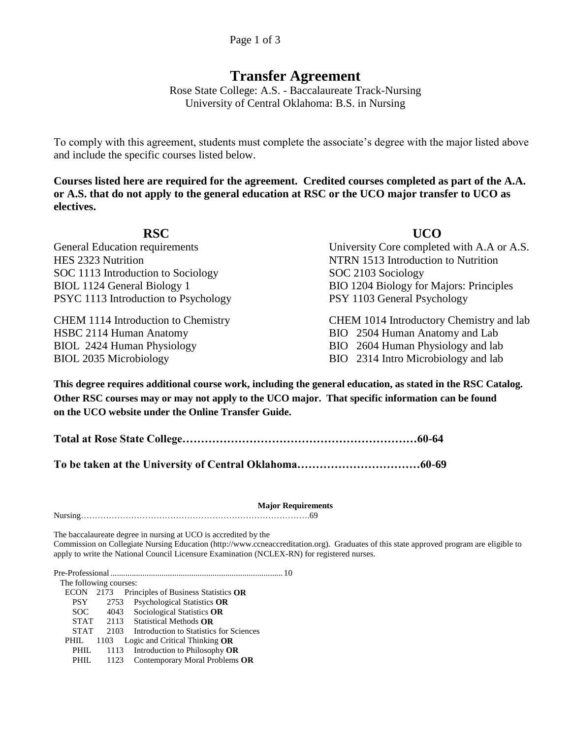# **Transfer Agreement**

Rose State College: A.S. - Baccalaureate Track-Nursing University of Central Oklahoma: B.S. in Nursing

To comply with this agreement, students must complete the associate's degree with the major listed above and include the specific courses listed below.

**Courses listed here are required for the agreement. Credited courses completed as part of the A.A. or A.S. that do not apply to the general education at RSC or the UCO major transfer to UCO as electives.** 

**RSC UCO**  HES 2323 Nutrition Nutrition Nutrition Nutrition Nutrition Nutrition Nutrition Nutrition Nutrition Nutrition Nutrition SOC 1113 Introduction to Sociology SOC 2103 Sociology PSYC 1113 Introduction to Psychology PSY 1103 General Psychology

HSBC 2114 Human Anatomy BIO 2504 Human Anatomy and Lab BIOL 2424 Human Physiology BIO 2604 Human Physiology and lab BIOL 2035 Microbiology BIO 2314 Intro Microbiology and lab

General Education requirements University Core completed with A.A or A.S. BIOL 1124 General Biology 1 BIO 1204 Biology for Majors: Principles

CHEM 1114 Introduction to Chemistry CHEM 1014 Introductory Chemistry and lab

**This degree requires additional course work, including the general education, as stated in the RSC Catalog. Other RSC courses may or may not apply to the UCO major. That specific information can be found on the UCO website under the Online Transfer Guide.**

**Total at Rose State College………………………………………………………60-64**

**To be taken at the University of Central Oklahoma……………………………60-69**

**Major Requirements** Nursing……………………………………………………………………….69

The baccalaureate degree in nursing at UCO is accredited by the

Commission on Collegiate Nursing Education (http://www.ccneaccreditation.org). Graduates of this state approved program are eligible to apply to write the National Council Licensure Examination (NCLEX-RN) for registered nurses.

Pre-Professional ................................................................................. 10

The following courses:

ECON 2173 Principles of Business Statistics **OR** 

PSY 2753 Psychological Statistics **OR** 

SOC 4043 Sociological Statistics **OR** STAT 2113 Statistical Methods **OR**

STAT 2103 Introduction to Statistics for Sciences

PHIL 1103 Logic and Critical Thinking **OR**

PHIL 1113 Introduction to Philosophy **OR**

PHIL 1123 Contemporary Moral Problems **OR**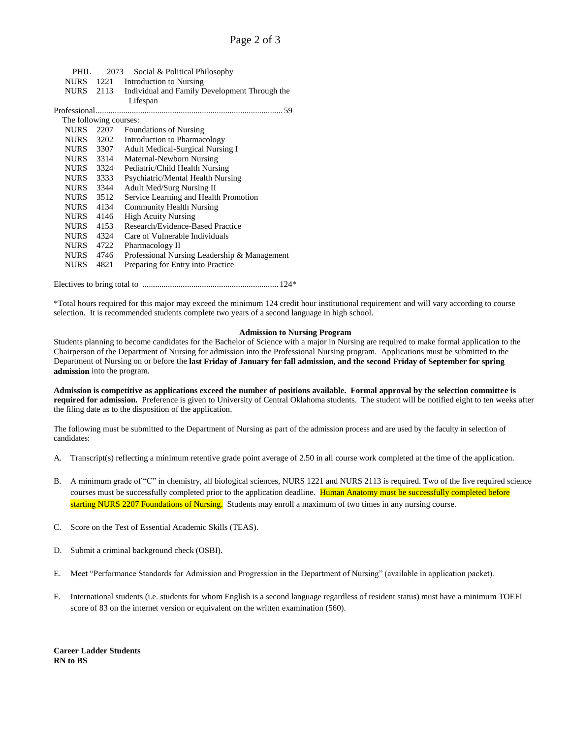|                        | PHIL. |  | 2073 Social & Political Philosophy                      |  |  |  |  |
|------------------------|-------|--|---------------------------------------------------------|--|--|--|--|
|                        |       |  | NURS 1221 Introduction to Nursing                       |  |  |  |  |
|                        |       |  | NURS 2113 Individual and Family Development Through the |  |  |  |  |
|                        |       |  | Lifespan                                                |  |  |  |  |
|                        |       |  |                                                         |  |  |  |  |
| The following courses: |       |  |                                                         |  |  |  |  |
|                        |       |  | $MIDC$ 2207 Equidations of Nursing                      |  |  |  |  |

| <b>NURS</b> | 2207 | <b>Foundations of Nursing</b>                |
|-------------|------|----------------------------------------------|
| <b>NURS</b> | 3202 | Introduction to Pharmacology                 |
| <b>NURS</b> | 3307 | Adult Medical-Surgical Nursing I             |
| <b>NURS</b> | 3314 | Maternal-Newborn Nursing                     |
| <b>NURS</b> | 3324 | Pediatric/Child Health Nursing               |
| <b>NURS</b> | 3333 | Psychiatric/Mental Health Nursing            |
| <b>NURS</b> | 3344 | <b>Adult Med/Surg Nursing II</b>             |
| <b>NURS</b> | 3512 | Service Learning and Health Promotion        |
| <b>NURS</b> | 4134 | <b>Community Health Nursing</b>              |
| <b>NURS</b> | 4146 | <b>High Acuity Nursing</b>                   |
| <b>NURS</b> | 4153 | Research/Evidence-Based Practice             |
| <b>NURS</b> | 4324 | Care of Vulnerable Individuals               |
| <b>NURS</b> | 4722 | Pharmacology II                              |
| <b>NURS</b> | 4746 | Professional Nursing Leadership & Management |
| <b>NURS</b> | 4821 | Preparing for Entry into Practice            |
|             |      |                                              |

Electives to bring total to ................................................................ 124\*

\*Total hours required for this major may exceed the minimum 124 credit hour institutional requirement and will vary according to course selection. It is recommended students complete two years of a second language in high school.

#### **Admission to Nursing Program**

Students planning to become candidates for the Bachelor of Science with a major in Nursing are required to make formal application to the Chairperson of the Department of Nursing for admission into the Professional Nursing program. Applications must be submitted to the Department of Nursing on or before the **last Friday of January for fall admission, and the second Friday of September for spring admission** into the program.

**Admission is competitive as applications exceed the number of positions available. Formal approval by the selection committee is required for admission.** Preference is given to University of Central Oklahoma students. The student will be notified eight to ten weeks after the filing date as to the disposition of the application.

The following must be submitted to the Department of Nursing as part of the admission process and are used by the faculty in selection of candidates:

- A. Transcript(s) reflecting a minimum retentive grade point average of 2.50 in all course work completed at the time of the application.
- B. A minimum grade of "C" in chemistry, all biological sciences, NURS 1221 and NURS 2113 is required. Two of the five required science courses must be successfully completed prior to the application deadline. Human Anatomy must be successfully completed before starting NURS 2207 Foundations of Nursing. Students may enroll a maximum of two times in any nursing course.
- C. Score on the Test of Essential Academic Skills (TEAS).
- D. Submit a criminal background check (OSBI).
- E. Meet "Performance Standards for Admission and Progression in the Department of Nursing" (available in application packet).
- F. International students (i.e. students for whom English is a second language regardless of resident status) must have a minimum TOEFL score of 83 on the internet version or equivalent on the written examination (560).

**Career Ladder Students RN to BS**